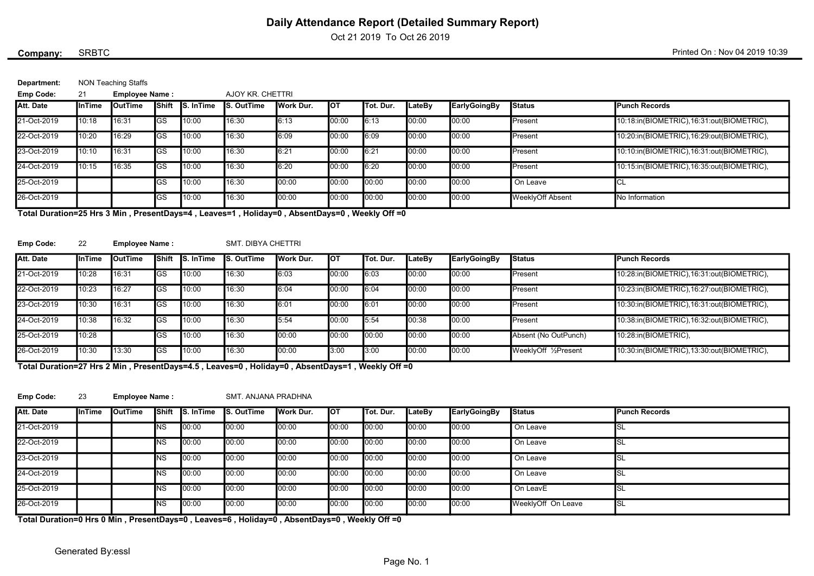Oct 21 2019 To Oct 26 2019

### SRBTC

Company: SRBTC SRBTC SRBTC SALL AND A 2019 10:39

| Department: | NON Teaching Staffs |                 |
|-------------|---------------------|-----------------|
| Emp Code:   | Employee Name:      | AJOY KR CHETTRI |

| $-$ , $     -$ |               | = p . o          |            |                  |                   |           |        |                   |        |              |                  |                                           |
|----------------|---------------|------------------|------------|------------------|-------------------|-----------|--------|-------------------|--------|--------------|------------------|-------------------------------------------|
| Att. Date      | <b>InTime</b> | <b>I</b> OutTime | IShift     | <b>S.</b> InTime | <b>S. OutTime</b> | Work Dur. | Іот    | <b>ITot. Dur.</b> | LateBy | EarlyGoingBy | <b>I</b> Status  | <b>Punch Records</b>                      |
| 21-Oct-2019    | 10:18         | 16:31            | <b>IGS</b> | 10:00            | 16:30             | 6:13      | 00:00  | 6:13              | 00:00  | 00:00        | Present          | 10:18:in(BIOMETRIC),16:31:out(BIOMETRIC), |
| 22-Oct-2019    | 10:20         | 16:29            | <b>GS</b>  | 10:00            | 16:30             | 6:09      | 100:00 | 6:09              | 00:00  | 00:00        | Present          | 10:20:in(BIOMETRIC),16:29:out(BIOMETRIC), |
| 23-Oct-2019    | 10:10         | 16:31            | GS         | 10:00            | 16:30             | 6:21      | 00:00  | 6:21              | 00:00  | 00:00        | Present          | 10:10:in(BIOMETRIC),16:31:out(BIOMETRIC), |
| 24-Oct-2019    | 10:15         | 16:35            | IGS        | 10:00            | 16:30             | 6:20      | 00:00  | 6:20              | 00:00  | 00:00        | Present          | 10:15:in(BIOMETRIC),16:35:out(BIOMETRIC), |
| 25-Oct-2019    |               |                  | lGS        | 10:00            | 16:30             | 00:00     | 00:00  | 00:00             | 00:00  | 00:00        | On Leave         |                                           |
| 26-Oct-2019    |               |                  | GS         | 10:00            | 16:30             | 00:00     | IO0:00 | 00:00             | 00:00  | 00:00        | WeeklyOff Absent | No Information                            |

Total Duration=25 Hrs 3 Min , PresentDays=4 , Leaves=1 , Holiday=0 , AbsentDays=0 , Weekly Off =0

#### Emp Code: 22

Employee Name : SMT. DIBYA CHETTRI

| Att. Date   | InTime | <b>I</b> OutTime | Shift      | <b>I</b> S. InTime | S. OutTime | Work Dur. | <b>I</b> OT | ITot. Dur. | _ateBv | EarlyGoingBy | <b>I</b> Status      | <b>IPunch Records</b>                      |
|-------------|--------|------------------|------------|--------------------|------------|-----------|-------------|------------|--------|--------------|----------------------|--------------------------------------------|
| 21-Oct-2019 | 10:28  | 16:31            | <b>IGS</b> | 10:00              | 16:30      | 6:03      | 00:00       | 6:03       | 00:00  | 00:00        | Present              | 10:28:in(BIOMETRIC),16:31:out(BIOMETRIC),  |
| 22-Oct-2019 | 10:23  | 16:27            | IGS.       | 10:00              | 16:30      | 6:04      | 00:00'      | 6:04       | 00:00  | 00:00        | lPresent             | 10:23:in(BIOMETRIC), 16:27:out(BIOMETRIC), |
| 23-Oct-2019 | 10:30  | 16:31            | IGS        | 10:00              | 16:30      | 6:01      | 00:00       | 6:01       | 00:00  | 100:00       | lPresent             | 10:30:in(BIOMETRIC), 16:31:out(BIOMETRIC), |
| 24-Oct-2019 | 10:38  | 16:32            | <b>IGS</b> | 10:00              | 16:30      | 5:54      | '00:00'     | 15:54      | 00:38  | 100:00       | lPresent             | 10:38:in(BIOMETRIC),16:32:out(BIOMETRIC),  |
| 25-Oct-2019 | 10:28  |                  | GS         | 10:00              | 16:30      | 00:00     | 00:00       | 00:00      | 00:00  | 100:00       | Absent (No OutPunch) | 10:28:in(BIOMETRIC),                       |
| 26-Oct-2019 | 10:30  | 13:30            | <b>IGS</b> | 10:00              | 16:30      | 00:00     | 3:00        | 3:00       | 00:00  | 00:00        | WeeklyOff 1/2Present | 10:30:in(BIOMETRIC), 13:30:out(BIOMETRIC), |

Total Duration=27 Hrs 2 Min , PresentDays=4.5 , Leaves=0 , Holiday=0 , AbsentDays=1 , Weekly Off =0

#### Emp Code: 23 Employee Name : SMT. ANJANA PRADHNA

| Att. Date   | <b>InTime</b> | <b>I</b> OutTime | <b>I</b> Shift | <b>S.</b> InTime | <b>S. OutTime</b> | Work Dur. | Іот    | Tot. Dur. | LateBy | EarlyGoingBy | <b>Status</b>      | <b>Punch Records</b> |
|-------------|---------------|------------------|----------------|------------------|-------------------|-----------|--------|-----------|--------|--------------|--------------------|----------------------|
| 21-Oct-2019 |               |                  | ΝS             | 00:00            | 00:00             | 00:00     | 100:00 | 100:00    | 00:00  | 00:00        | On Leave           | <b>I</b> SL          |
| 22-Oct-2019 |               |                  | ΝS             | 00:00            | 00:00             | 00:00     | 100:00 | 00:00     | 00:00  | 00:00        | On Leave           | <b>I</b> SL          |
| 23-Oct-2019 |               |                  | <b>INS</b>     | 00:00            | 00:00             | 00:00     | 100:00 | 00:00     | 00:00  | 00:00        | On Leave           | ISL                  |
| 24-Oct-2019 |               |                  | NS             | 00:00            | 00:00             | 00:00     | 100:00 | 00:00     | 00:00  | 00:00        | On Leave           | <b>I</b> SL          |
| 25-Oct-2019 |               |                  | ΝS             | 00:00            | 00:00             | 00:00     | 100:00 | 00:00     | 00:00  | 00:00        | On LeavE           | <b>I</b> SL          |
| 26-Oct-2019 |               |                  | ΝS             | 100:00           | 00:00             | 00:00     | 100:00 | 00:00     | 00:00  | 00:00        | WeeklyOff On Leave | <b>I</b> SL          |

Total Duration=0 Hrs 0 Min , PresentDays=0 , Leaves=6 , Holiday=0 , AbsentDays=0 , Weekly Off =0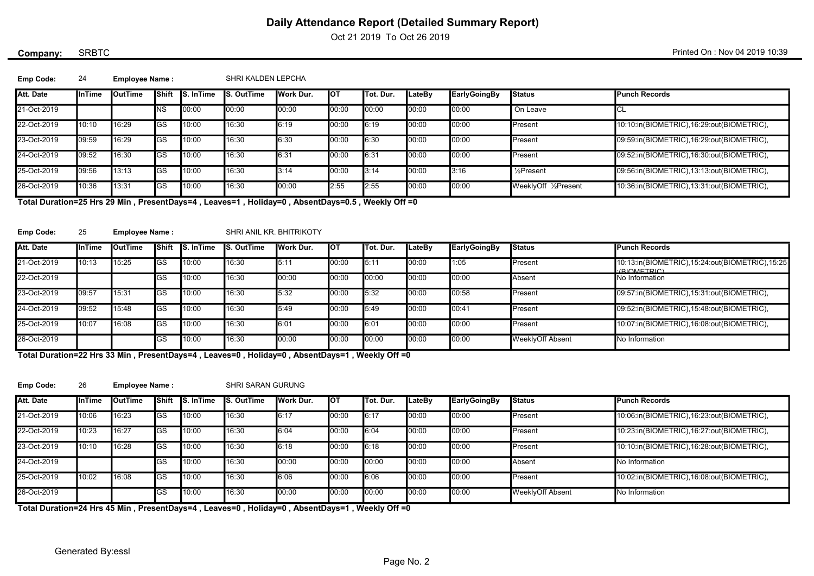Oct 21 2019 To Oct 26 2019

## SRBTC

Company: SRBTC SRBTC SRBTC SALL AND A 2019 10:39

| Emp Code: |  | <b>Employee Name:</b> | SHRI KALDEN LEPCHA |
|-----------|--|-----------------------|--------------------|
|-----------|--|-----------------------|--------------------|

| Att. Date   | <b>InTime</b> | <b>I</b> OutTime | Shift | <b>S.</b> InTime | S. OutTime | Work Dur. | Іот    | ITot. Dur. | <b>LateBy</b> | <b>EarlyGoingBy</b> | <b>Status</b>        | Punch Records                             |
|-------------|---------------|------------------|-------|------------------|------------|-----------|--------|------------|---------------|---------------------|----------------------|-------------------------------------------|
| 21-Oct-2019 |               |                  | NS    | 00:00            | 00:00      | 00:00     | IO0:00 | 00:00      | 00:00         | 00:00               | On Leave             |                                           |
| 22-Oct-2019 | 10:10         | 16:29            | GS    | 10:00            | 16:30      | 6:19      | 00:00  | 6:19       | 00:00         | 00:00               | <b>I</b> Present     | 10:10:in(BIOMETRIC),16:29:out(BIOMETRIC), |
| 23-Oct-2019 | 09:59         | 16:29            | GS    | 10:00            | 16:30      | 6:30      | 00:00  | 6:30       | 00:00         | 00:00               | <b>I</b> Present     | 09:59:in(BIOMETRIC),16:29:out(BIOMETRIC), |
| 24-Oct-2019 | 09:52         | 16:30            | GS    | 10:00            | 16:30      | 6:31      | 00:00  | 6:31       | 00:00         | 00:00               | <b>I</b> Present     | 09:52:in(BIOMETRIC),16:30:out(BIOMETRIC), |
| 25-Oct-2019 | 09:56         | 13:13            | GS    | 10:00            | 16:30      | 3:14      | 00:00  | l3:14      | 00:00         | 3:16                | l ½Present           | 09:56:in(BIOMETRIC),13:13:out(BIOMETRIC), |
| 26-Oct-2019 | 10:36         | 13:31            | GS    | 10:00            | 16:30      | 00:00     | 2:55   | 2:55       | 00:00         | 00:00               | WeeklyOff 1/2Present | 10:36:in(BIOMETRIC),13:31:out(BIOMETRIC), |

Total Duration=25 Hrs 29 Min , PresentDays=4 , Leaves=1 , Holiday=0 , AbsentDays=0.5 , Weekly Off =0

| <b>Emp Code:</b> |  | <b>Employee Name:</b> | SHRI ANIL KR. BHITRIKOTY |
|------------------|--|-----------------------|--------------------------|
|------------------|--|-----------------------|--------------------------|

| Att. Date   | <b>InTime</b> | <b>I</b> OutTime | <b>I</b> Shift | <b>S.</b> InTime | <b>S. OutTime</b> | Work Dur. | Іот   | ITot. Dur. | LateBv | EarlyGoingBy | <b>I</b> Status         | <b>IPunch Records</b>                                         |
|-------------|---------------|------------------|----------------|------------------|-------------------|-----------|-------|------------|--------|--------------|-------------------------|---------------------------------------------------------------|
| 21-Oct-2019 | 10:13         | 15:25            | <b>IGS</b>     | 10:00            | 16:30             | 5:11      | 00:00 | 5:11       | 00:00  | 1:05         | <b>Present</b>          | 10:13:in(BIOMETRIC),15:24:out(BIOMETRIC),15:25<br>(PIOMETDIC) |
| 22-Oct-2019 |               |                  | <b>GS</b>      | 10:00            | 16:30             | 00:00     | 00:00 | 00:00      | 00:00  | 00:00        | <b>Absent</b>           | No Information                                                |
| 23-Oct-2019 | 09:57         | 15:31            | IGS            | 10:00            | 16:30             | 5:32      | 00:00 | 5:32       | 00:00  | 00:58        | <b>Present</b>          | 09:57:in(BIOMETRIC),15:31:out(BIOMETRIC),                     |
| 24-Oct-2019 | 09:52         | 15:48            | GS             | 10:00            | 16:30             | 5:49      | 00:00 | 5:49       | 00:00  | 00:41        | <b>Present</b>          | 09:52:in(BIOMETRIC),15:48:out(BIOMETRIC),                     |
| 25-Oct-2019 | 10:07         | 16:08            | IGS            | 10:00            | 16:30             | 6:01      | 00:00 | 6:01       | 00:00  | 00:00        | <b>I</b> Present        | 10:07:in(BIOMETRIC), 16:08:out(BIOMETRIC),                    |
| 26-Oct-2019 |               |                  | GS             | 10:00            | 16:30             | 00:00     | 00:00 | 00:00      | 00:00  | 00:00        | <b>WeeklyOff Absent</b> | No Information                                                |

Total Duration=22 Hrs 33 Min , PresentDays=4 , Leaves=0 , Holiday=0 , AbsentDays=1 , Weekly Off =0

Emp Code: 26

Employee Name : SHRI SARAN GURUNG

| Att. Date   | <b>I</b> InTime | <b>I</b> OutTime | Shift | <b>I</b> S. InTime | <b>S. OutTime</b> | <b>I</b> Work Dur. | Іот   | lTot. Dur. | <b>ILateBv</b> | EarlyGoingBy | <b>Status</b>           | <b>Punch Records</b>                       |
|-------------|-----------------|------------------|-------|--------------------|-------------------|--------------------|-------|------------|----------------|--------------|-------------------------|--------------------------------------------|
| 21-Oct-2019 | 10:06           | 16:23            | IGS   | 10:00              | 16:30             | 6:17               | 00:00 | 6:17       | 00:00          | 00:00        | Present                 | 10:06:in(BIOMETRIC), 16:23:out(BIOMETRIC), |
| 22-Oct-2019 | 10:23           | 16:27            | IGS   | 10:00              | 16:30             | 6:04               | 00:00 | 6:04       | 00:00          | 00:00        | <b>I</b> Present        | 10:23:in(BIOMETRIC), 16:27:out(BIOMETRIC), |
| 23-Oct-2019 | 10:10           | 16:28            | IGS   | 10:00              | 16:30             | 6:18               | 00:00 | 6:18       | 00:00          | 00:00        | <b>I</b> Present        | 10:10:in(BIOMETRIC), 16:28:out(BIOMETRIC), |
| 24-Oct-2019 |                 |                  | lGS   | 10:00              | 16:30             | 00:00              | 00:00 | 00:00      | 00:00          | 00:00        | <b>Absent</b>           | No Information                             |
| 25-Oct-2019 | 10:02           | 16:08            | IGS   | 10:00              | 16:30             | 6:06               | 00:00 | 6:06       | 00:00          | 00:00        | <b>I</b> Present        | 10:02:in(BIOMETRIC), 16:08:out(BIOMETRIC), |
| 26-Oct-2019 |                 |                  | lGS   | 10:00              | 16:30             | 00:00              | 00:00 | 00:00      | 00:00          | 00:00        | <b>WeeklyOff Absent</b> | No Information                             |

Total Duration=24 Hrs 45 Min , PresentDays=4 , Leaves=0 , Holiday=0 , AbsentDays=1 , Weekly Off =0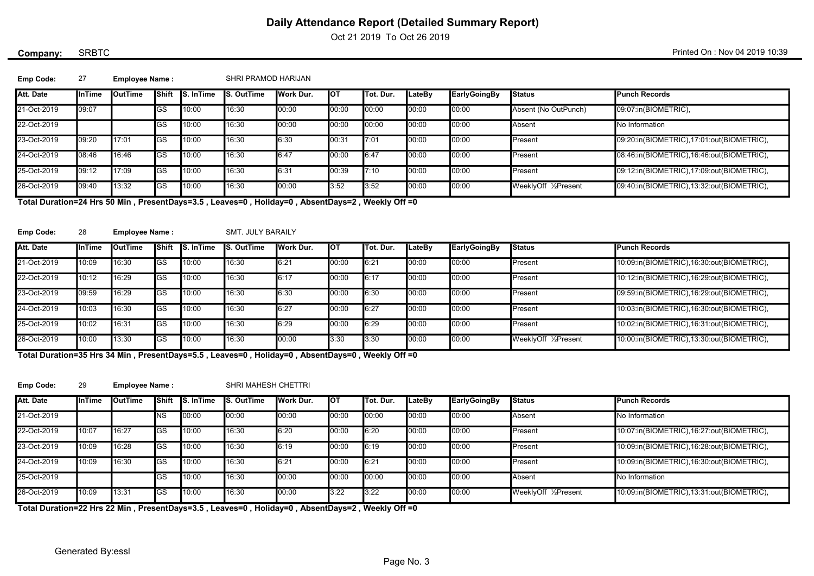Oct 21 2019 To Oct 26 2019

## SRBTC

Company: SRBTC SRBTC SRBTC SALL AND A 2019 10:39

| Emp Code:   | 27            | <b>Employee Name:</b> |                |                  | SHRI PRAMOD HARIJAN |           |        |           |               |              |                      |                                           |
|-------------|---------------|-----------------------|----------------|------------------|---------------------|-----------|--------|-----------|---------------|--------------|----------------------|-------------------------------------------|
| Att. Date   | <b>InTime</b> | <b>I</b> OutTime      | <b>I</b> Shift | <b>S.</b> InTime | S. OutTime          | Work Dur. | Іот    | Tot. Dur. | <b>LateBy</b> | EarlyGoingBy | <b>Status</b>        | Punch Records                             |
| 21-Oct-2019 | 09:07         |                       | IGS            | 10:00            | 16:30               | 00:00     | 00:00  | 00:00     | 00:00         | 00:00        | Absent (No OutPunch) | 09:07:in(BIOMETRIC),                      |
| 22-Oct-2019 |               |                       | IGS            | 10:00            | 16:30               | 00:00     | 00:00  | 00:00     | 00:00         | 00:00        | Absent               | No Information                            |
| 23-Oct-2019 | 09:20         | 17:01                 | IGS            | 10:00            | 16:30               | 6:30      | 00:31  | 7:01      | 00:00         | 00:00        | Present              | 09:20:in(BIOMETRIC),17:01:out(BIOMETRIC), |
| 24-Oct-2019 | 08:46         | 16:46                 | <b>IGS</b>     | 10:00            | 16:30               | 6:47      | 100:00 | 6:47      | 00:00         | 00:00        | Present              | 08:46:in(BIOMETRIC),16:46:out(BIOMETRIC), |
| 25-Oct-2019 | 09:12         | 17:09                 | IGS            | 10:00            | 16:30               | 6:31      | 00:39  | 7:10      | 00:00         | 00:00        | Present              | 09:12:in(BIOMETRIC),17:09:out(BIOMETRIC), |
| 26-Oct-2019 | 09:40         | 13:32                 | IGS            | 10:00            | 16:30               | 00:00     | 3:52   | 3:52      | 00:00         | 00:00        | WeeklyOff 1/2Present | 09:40:in(BIOMETRIC),13:32:out(BIOMETRIC), |

Total Duration=24 Hrs 50 Min , PresentDays=3.5 , Leaves=0 , Holiday=0 , AbsentDays=2 , Weekly Off =0

| <b>Emp Code:</b> |  | <b>Employee Name:</b> | <b>SMT. JULY BARAILY</b> |
|------------------|--|-----------------------|--------------------------|
|------------------|--|-----------------------|--------------------------|

| <b>SMT. JULY BARAILY</b> |  |
|--------------------------|--|
|--------------------------|--|

| Att. Date   | <b>InTime</b> | <b>I</b> OutTime | IShift      | <b>I</b> S. InTime | <b>S. OutTime</b> | Work Dur. | <b>I</b> OT | ITot. Dur. | <b>LateBy</b> | EarlyGoingBy | <b>I</b> Status      | <b>IPunch Records</b>                      |
|-------------|---------------|------------------|-------------|--------------------|-------------------|-----------|-------------|------------|---------------|--------------|----------------------|--------------------------------------------|
| 21-Oct-2019 | 10:09         | 16:30            | <b>I</b> GS | 10:00              | 16:30             | 6:21      | 00:00       | 6:21       | 00:00         | 00:00        | Present              | 10:09:in(BIOMETRIC), 16:30:out(BIOMETRIC), |
| 22-Oct-2019 | 10:12         | 16:29            | <b>I</b> GS | 10:00              | 16:30             | 6:17      | 100:00      | 6:17       | 00:00         | 00:00        | Present              | 10:12:in(BIOMETRIC), 16:29:out(BIOMETRIC), |
| 23-Oct-2019 | 09:59         | 16:29            | <b>I</b> GS | 10:00              | 16:30             | 6:30      | 100:00      | 6:30       | 00:00         | 00:00        | Present              | 09:59:in(BIOMETRIC),16:29:out(BIOMETRIC),  |
| 24-Oct-2019 | 10:03         | 16:30            | <b>I</b> GS | 10:00              | 16:30             | 6:27      | 100:00      | 6:27       | 00:00         | 00:00        | Present              | 10:03:in(BIOMETRIC),16:30:out(BIOMETRIC),  |
| 25-Oct-2019 | 10:02         | 16:31            | IGS         | 10:00              | 16:30             | 6:29      | 100:00      | 6:29       | 00:00         | 00:00        | Present              | 10:02:in(BIOMETRIC), 16:31:out(BIOMETRIC), |
| 26-Oct-2019 | 10:00         | 13:30            | IGS         | 10:00              | 16:30             | 00:00     | 13:30       | 3:30       | 00:00         | 00:00        | WeeklyOff 1/2Present | 10:00:in(BIOMETRIC), 13:30:out(BIOMETRIC), |

Total Duration=35 Hrs 34 Min , PresentDays=5.5 , Leaves=0 , Holiday=0 , AbsentDays=0 , Weekly Off =0

Emp Code: 29

Employee Name : SHRI MAHESH CHETTRI

| <b>Att. Date</b> | <b>I</b> InTime | <b>I</b> OutTime | Shift       | <b>I</b> S. InTime | <b>S. OutTime</b> | Work Dur. | <b>I</b> OT | ITot. Dur. | <b>LateBv</b> | EarlyGoingBy | <b>I</b> Status      | <b>I</b> Punch Records                     |
|------------------|-----------------|------------------|-------------|--------------------|-------------------|-----------|-------------|------------|---------------|--------------|----------------------|--------------------------------------------|
| 21-Oct-2019      |                 |                  | INS         | 00:00              | 00:00             | 00:00     | 00:00       | 00:00      | 00:00         | 00:00        | <b>Absent</b>        | No Information                             |
| 22-Oct-2019      | 10:07           | 16:27            | <b>GS</b>   | 10:00              | 16:30             | 6:20      | 00:00       | 6:20       | 00:00         | 00:00        | Present              | 10:07:in(BIOMETRIC), 16:27:out(BIOMETRIC), |
| 23-Oct-2019      | 10:09           | 16:28            | <b>I</b> GS | 10:00              | 16:30             | 6:19      | 00:00       | 6:19       | 00:00         | 00:00        | Present              | 10:09:in(BIOMETRIC), 16:28:out(BIOMETRIC), |
| 24-Oct-2019      | 10:09           | 16:30            | <b>GS</b>   | 10:00              | 16:30             | 6:21      | 00:00       | 6:21       | 00:00         | 00:00        | Present              | 10:09:in(BIOMETRIC), 16:30:out(BIOMETRIC), |
| 25-Oct-2019      |                 |                  | lGS         | 10:00              | 16:30             | 00:00     | 00:00       | 00:00      | 00:00         | 00:00        | <b>Absent</b>        | No Information                             |
| 26-Oct-2019      | 10:09           | 13:31            | IGS         | 10:00              | 16:30             | 00:00     | 3:22        | 3:22       | 00:00         | 00:00        | WeeklvOff 1/2Present | 10:09:in(BIOMETRIC), 13:31:out(BIOMETRIC), |

Total Duration=22 Hrs 22 Min , PresentDays=3.5 , Leaves=0 , Holiday=0 , AbsentDays=2 , Weekly Off =0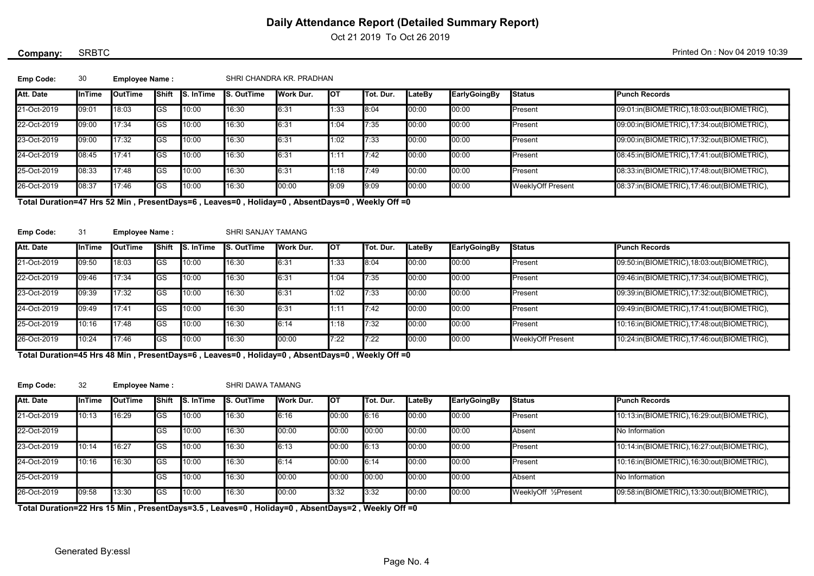Oct 21 2019 To Oct 26 2019

## SRBTC

Company: SRBTC SRBTC SRBTC SALL AND A 2019 10:39

| <b>Emp Code:</b>                                                                        | 30     | <b>Employee Name:</b> |             |                  |                   | SHRI CHANDRA KR. PRADHAN |      |            |        |              |                          |                                           |  |  |
|-----------------------------------------------------------------------------------------|--------|-----------------------|-------------|------------------|-------------------|--------------------------|------|------------|--------|--------------|--------------------------|-------------------------------------------|--|--|
| Att. Date                                                                               | InTime | <b>OutTime</b>        | IShift      | <b>S.</b> InTime | <b>S. OutTime</b> | Work Dur.                | Іот  | ITot. Dur. | LateBy | EarlyGoingBy | <b>Status</b>            | <b>Punch Records</b>                      |  |  |
| 21-Oct-2019                                                                             | 09:01  | 18:03                 | IGS         | 10:00            | 16:30             | 6:31                     | 1:33 | 8:04       | 00:00  | 00:00        | <b>I</b> Present         | 09:01:in(BIOMETRIC),18:03:out(BIOMETRIC), |  |  |
| 22-Oct-2019                                                                             | 09:00  | 17:34                 | IGS         | 10:00            | 16:30             | 6:31                     | 1:04 | 7:35       | 00:00  | 00:00        | <b>I</b> Present         | 09:00:in(BIOMETRIC),17:34:out(BIOMETRIC), |  |  |
| 23-Oct-2019                                                                             | 09:00  | 17:32                 | <b>GS</b>   | 10:00            | 16:30             | 6:31                     | 1:02 | 7:33       | 00:00  | 00:00        | Present                  | 09:00:in(BIOMETRIC),17:32:out(BIOMETRIC), |  |  |
| 24-Oct-2019                                                                             | 08:45  | 17:41                 | IGS         | 10:00            | 16:30             | 6:31                     | 1:11 | 7:42       | 00:00  | 00:00        | Present                  | 08:45:in(BIOMETRIC),17:41:out(BIOMETRIC), |  |  |
| 25-Oct-2019                                                                             | 08:33  | 17:48                 | IGS         | 10:00            | 16:30             | 6:31                     | 1:18 | 7:49       | 00:00  | 00:00        | <b>I</b> Present         | 08:33:in(BIOMETRIC),17:48:out(BIOMETRIC), |  |  |
| 26-Oct-2019                                                                             | 08:37  | 17:46                 | <b>I</b> GS | 10:00            | 16:30             | 00:00                    | 9:09 | 9:09       | 00:00  | 00:00        | <b>WeeklyOff Present</b> | 08:37:in(BIOMETRIC),17:46:out(BIOMETRIC), |  |  |
| The Protection of the FAMP. Processible Anti-color Anti-Phone Anti-color Michild Affair |        |                       |             |                  |                   |                          |      |            |        |              |                          |                                           |  |  |

Total Duration=47 Hrs 52 Min , PresentDays=6 , Leaves=0 , Holiday=0 , AbsentDays=0 , Weekly Off =0

| Emp Code:   | 31            | <b>Employee Name:</b> |              |                   |                   | SHRI SANJAY TAMANG |      |                  |               |              |                          |                                           |  |  |
|-------------|---------------|-----------------------|--------------|-------------------|-------------------|--------------------|------|------------------|---------------|--------------|--------------------------|-------------------------------------------|--|--|
| Att. Date   | <b>InTime</b> | <b>I</b> OutTime      | <b>Shift</b> | <b>IS.</b> InTime | <b>S. OutTime</b> | Work Dur.          | Іот  | <b>Tot. Dur.</b> | <b>LateBy</b> | EarlyGoingBy | <b>Status</b>            | <b>IPunch Records</b>                     |  |  |
| 21-Oct-2019 | 09:50         | 18:03                 | lGS          | 10:00             | 16:30             | 6:31               | 1:33 | 8:04             | 00:00         | 00:00        | <b>Present</b>           | 09:50:in(BIOMETRIC),18:03:out(BIOMETRIC), |  |  |
| 22-Oct-2019 | 09:46         | 17:34                 | lGS          | 10:00             | 16:30             | 6:31               | 1:04 | 7:35             | 00:00         | 00:00        | <b>I</b> Present         | 09:46:in(BIOMETRIC),17:34:out(BIOMETRIC), |  |  |
| 23-Oct-2019 | 09:39         | 17:32                 | lGS          | 10:00             | 16:30             | 6:31               | 1:02 | 17:33            | 00:00         | 00:00        | <b>I</b> Present         | 09:39:in(BIOMETRIC),17:32:out(BIOMETRIC), |  |  |
| 24-Oct-2019 | 09:49         | 17:41                 | <b>IGS</b>   | 10:00             | 16:30             | 6:31               | 1:1' | 7:42             | 00:00         | 00:00        | <b>Present</b>           | 09:49:in(BIOMETRIC),17:41:out(BIOMETRIC), |  |  |
| 25-Oct-2019 | 10:16         | 17:48                 | GS           | 10:00             | 16:30             | 6:14               | 1:18 | 17:32            | 00:00         | 00:00        | <b>I</b> Present         | 10:16:in(BIOMETRIC),17:48:out(BIOMETRIC), |  |  |
| 26-Oct-2019 | 10:24         | 17:46                 | IGS.         | 10:00             | 16:30             | 00:00              | 7:22 | 7:22             | 00:00         | 00:00        | <b>WeeklyOff Present</b> | 10:24:in(BIOMETRIC),17:46:out(BIOMETRIC), |  |  |

Total Duration=45 Hrs 48 Min , PresentDays=6 , Leaves=0 , Holiday=0 , AbsentDays=0 , Weekly Off =0

Emp Code: 32

Employee Name : SHRI DAWA TAMANG

| Att. Date   | <b>InTime</b> | <b>I</b> OutTime | Shift     | <b>I</b> S. InTime | <b>S. OutTime</b> | Work Dur. | <b>I</b> OT | <b>ITot. Dur.</b> | <b>ILateBy</b> | <b>EarlyGoingBy</b> | <b>Status</b>        | <b>Punch Records</b>                       |
|-------------|---------------|------------------|-----------|--------------------|-------------------|-----------|-------------|-------------------|----------------|---------------------|----------------------|--------------------------------------------|
| 21-Oct-2019 | 10:13         | 16:29            | lGS       | 10:00              | 16:30             | 6:16      | 00:00       | 6:16              | 00:00          | 00:00               | <b>I</b> Present     | 10:13:in(BIOMETRIC), 16:29:out(BIOMETRIC), |
| 22-Oct-2019 |               |                  | IGS       | 10:00              | 16:30             | 00:00     | 00:00       | 100:00            | 00:00          | 00:00               | Absent               | No Information                             |
| 23-Oct-2019 | 10:14         | 16:27            | <b>GS</b> | 10:00              | 16:30             | 6:13      | 00:00       | 6:13              | 00:00          | 00:00               | <b>I</b> Present     | 10:14:in(BIOMETRIC), 16:27:out(BIOMETRIC), |
| 24-Oct-2019 | 10:16         | 16:30            | IGS       | 10:00              | 16:30             | 6:14      | 00:00       | 6:14              | 00:00          | 00:00               | <b>I</b> Present     | 10:16:in(BIOMETRIC),16:30:out(BIOMETRIC),  |
| 25-Oct-2019 |               |                  | <b>GS</b> | 10:00              | 16:30             | 00:00     | 00:00       | 00:00             | 00:00          | 00:00               | <b>Absent</b>        | No Information                             |
| 26-Oct-2019 | 09:58         | 13:30            | lGS       | 10:00              | 16:30             | 00:00     | 3:32        | 3:32              | 00:00          | 00:00               | WeeklyOff 1/2Present | 09:58:in(BIOMETRIC),13:30:out(BIOMETRIC),  |

Total Duration=22 Hrs 15 Min , PresentDays=3.5 , Leaves=0 , Holiday=0 , AbsentDays=2 , Weekly Off =0